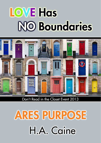# **LOVE Has NO Boundaries**



Don't Read in the Closet Event 2013

## **ARES PURPOSE** H.A. Caine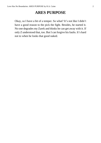## **ARES PURPOSE**

Okay, so I have a bit of a temper. So what? It's not like I didn't have a good reason to the pick the fight. Besides, he started it. No one degrades my Zarek and thinks he can get away with it. If only Z understood that, too. But I can forgive his faults. It's hard not to when he looks that good naked.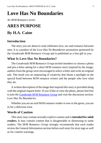## **Love Has No Boundaries**

*An M/M Romance series*

## **ARES PURPOSE**

## **By H.A. Caine**

## **Introduction**

The story you are about to read celebrates love, sex and romance between men. It is a product of the *Love Has No Boundaries* promotion sponsored by the *Goodreads M/M Romance Group* and is published as a free gift to you.

## **What Is Love Has No Boundaries?**

The *Goodreads M/M Romance Group* invited members to choose a photo and pen a letter asking for a short M/M romance story inspired by the image; authors from the group were encouraged to select a letter and write an original tale. The result was an outpouring of creativity that shone a spotlight on the special bond between M/M romance writers and the people who love what they do.

A written description of the image that inspired this story is provided along with the original request letter. If you'd like to view the photo, please feel free to join the [Goodreads M/M Romance Group](http://www.goodreads.com/group/show/20149-m-m-romance) and visit the discussion section: *Love Has No Boundaries*.

Whether you are an avid M/M romance reader or new to the genre, you are in for a delicious treat.

## **Words of Caution**

This story may contain sexually explicit content and is **intended for adult readers.** It may contain content that is disagreeable or distressing to some readers. The *M/M Romance Group* strongly recommends that each reader review the General Information section before each story for story tags as well as for content warnings.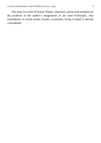This story is a work of fiction. Names, characters, places and incidents are the products of the author's imagination or are used fictitiously. Any resemblance to actual events, locales, or persons, living or dead, is entirely coincidental.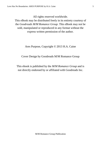All rights reserved worldwide.

This eBook may be distributed freely in its entirety courtesy of the *Goodreads M/M Romance Group*. This eBook may not be sold, manipulated or reproduced in any format without the express written permission of the author.

Ares Purpose, Copyright © 2013 H.A. Caine

Cover Design by Goodreads M/M Romance Group

This ebook is published by the *M/M Romance Group* and is not directly endorsed by or affiliated with Goodreads Inc.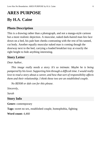## **ARES PURPOSE By H.A. Caine**

### **Photo Description**

This is a drawing rather than a photograph, and not a manga-style cartoon but a more realistic depiction. A muscular, naked dark-haired man lies face down on a bed, his pale butt cheeks contrasting with the rest of his tanned, cut body. Another equally muscular naked man is coming though the doorway next to the bed, carrying a loaded breakfast tray at exactly the right height to hide anything interesting.

### **Story Letter**

#### *Dear Author*,

*This image really needs a story. It's so intimate. Maybe he is being pampered by his lover. Supporting him through a difficult time. I would really love to read a story about a career, and how that sort of responsibility affects them and their relationship. I think these two are an established couple.*

*No BDSM or dub con for this please.*

*Sincerely,*

*Sarah*

#### **Story Info**

**Genre:** contemporary

**Tags:** sweet no sex, established couple, homophobia, fighting

**Word count:** 4,460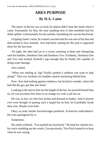## **ARES PURPOSE By H.A. Caine**

The music in the bar was so loud; he almost didn't hear the insult when it came. Fortunately for him, the man standing next to him stumbled and his drink spilled. Unfortunately for the asshole, Stumbling Joe was his boyfriend.

Gripping Zarek's arms, he waited a second until he was sure of his feet and then turned to face Asshole. Ares had been waiting for this jerk to approach them for the last hour.

All night, the idiot had sat in a corner, pointing at them and whispering with his buddies, Dumbass One and Dumbass Two. Evidently, Dumbass One and Two had stroked Asshole's ego enough that he finally felt capable of doing some damage.

Ares smiled.

"What you smiling at, fag? Finally spotted a rainbow you want to skip along?" That was Asshole; his buddies started snickering behind him.

Now, Ares had nothing against rainbows, but he had to wonder, where the hell did the guy get that one from?

Looking in the mirror that ran the length of the bar, he assured himself that no, he was not three feet short in an orange tux with a tall hat on.

He was, in fact, six feet four inches and dressed in leather. And if anyone ever even thought of putting such a stupid hat on him, he'd probably break their arm. Maybe even both.

Okay,so yeah, maybe Ares had anger problems. At least he could admit it. He even apologized for it.

**Sometimes** 

His smile widened. "You pushed my boyfriend." He kept his volume low, his voice rumbling out the words. Unconsciously, Trio Prick leaned in to hear what he was saying.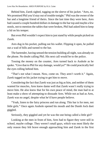Behind him, Zarek sighed, tugging on the sleeve of his jacket. "Ares, no. We promised Phil you'd stay out of trouble tonight." Phil was the owner of the bar and a longtime friend of theirs. Since the last time they were here, Ares had caused a couple hundred dollars in damage to the bar top and maybe a few stools, not to mention the tables that were broken, Phil had asked him to keep a lid on his temper.

But even Phil wouldn't expect him to just stand by while people picked on Zarek.

Ares dug in his pocket, pulling out his wallet. Flipping it open, he pulled out a wad of bills and turned to the bar.

The bartender, having sensed the tension building all night, was already on the phone. No doubt calling Phil. His next call would be to the police.

Tossing the money on the counter, Ares turned back to Asshole as he spoke. "Give that to Phil for any damage, would ya?" He could practically feel the eyes rolling behind him.

"That's not what I meant. Now, come on. They aren't worth it." Again, Zarek tugged on his jacket trying to get him to move.

Considering the fact that Zarek was just as big as him, and neither of them wanted for muscles, Ares knew damn well that Zarek wasn't really trying to move him. He also knew that for his own peace of mind, the man had to at least make a show of attempting to dissuade Ares. While not as bad as Ares, Zarek was no angel, despite what he'd have people believe.

"Yeah, listen to the fairy princess and run along. This bar is for men, not little girls." Once again Asshole opened his mouth and the Dumb Jock duet giggled.

Seriously, they giggled and yet he was the one being called a little girl?

Looking at the men in front of him, Ares had to figure they were still in school, maybe college. They weren't small guys, which was most likely the only reason they felt brave enough approaching him and Zarek in the first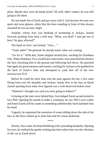place. Maybe they were all dumb jocks? Ah well, didn't matter, he was still going to hit them.

No one made fun of Zarek and got away with it. Just because the man was quiet and wore glasses, idiots like the three standing in front of him always assumed he was an easy target.

Asshole, whom Ares was thinking of promoting to Jackass, leaned forward, pushing Ares back a half step. "What, you deaf? I said get out of here! No gays allowed!"

The hand on Ares' arm tensed. "Ares…"

"Yeah, babe?" He grinned; he already knew what was coming.

"Go for it." With that, Zarek stepped around him, reaching for Dumbass One. When Dumbass Two would have intervened, Ares punched him dead in the face, knocking him to the ground and following him down. He punched him again for good measure and turned, reaching for Jackass as he grabbed for the back of Zarek's shirt and attempted to yank him off of the now unconscious D.O.

Before he could do more than toss the man against the bar, a fist came flying from over his shoulder and Jackass' hands flew to his face as blood started spurting from what Ares figured was a well-deserved broken nose.

"Dammit! I thought you said you were going to behave?"

Grinning at the irate voice behind him, Ares helped Zarek up and turned to face Phil. Opening his mouth to make a comment, he saw Phil's eyes widen and heard Zarek yell his name as something unbelievably hard slammed into his head.

Vaguely, he registered the sensation of sweat sliding down the side of his face as the floor rushed up to meet him and his vision darkened.

\*\*\*\*

Slowly, Ares woke, his head throbbing with a pounding headache. Opening his eyes, he realized the gentle rocking that had woken him was the vibration of the car as Zarek drove.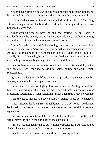Groaning, he lifted his head. Quickly reaching out a hand to the dashboard, he steadied himself as dizziness hit and his stomach threatened to revolt.

"Unngh. What the fuck hit me?" he mumbled, cradling his head. Deciding sitting up maybe wasn't the best idea, he slouched back against the window, but kept his eyes open.

"That would be the business end of a beer bottle." The quiet answer startled him and he quickly swung his head towards Zarek, without thinking about the stab of pain such a movement would cause.

"Fuck!" Yeah, he wouldn't be moving that fast for some time. And seriously, a beer bottle? Ares was pretty certain that only happened in movies. At least, he thought it only happened in movies. What kind of punk-ass actually did that? Mentally, he raised his hand. He knew that answer. Punk-ass college boys, who had bigger egos than muscles, did that.

He must have made some kind of sound that showed his incredulity at the fact because Zarek chuckled beside him, before patting him on the thigh reassuringly.

Ignoring the laughter, he lifted a hand and prodded at the spot above his left ear, where the throbbing pain was the worst.

He felt the stickiness of drying blood and grimaced. Sifting through his hair, he flinched when his fingertip made contact with his scalp. Poking around, he determined it wasn't anything serious but he still needed to wash it.

Some swabs of alcohol and a few butterfly stitches should do, he decided.

"Jeez. I need to lie down. How much longer 'til we get home?" He leaned back against the headrest, turning to face Zarek when the man didn't respond right away.

Narrowing his eyes, he watched as Z nibbled on his lower lip, the pink flesh shiny with spit in the dim light of the dashboard.

"Zarek." He dragged the name out, waiting to speak until Zarek sighed and flashed his eyes to Ares before returning them to the road.

"Yeah?" he asked, pretending he didn't hear Ares question.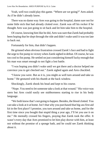Yeah, well two could play this game. "Where are we going?" Ares asked. As if he didn't already know.

There was no damn way Ares was going to the hospital, damn sure not for some little nick that had already clotted over. Zarek was off his rocker if he thought Ares was just going to sit back and let him take him to the hospital.

Of course, knowing him like he did, Ares wassure that Zarek had probably been hoping that he slept through the ride and didn't wake until it was too late to back out.

Fortunately for him, that didn't happen.

He grinned when obvious frustration crossed Zarek's face and had to fight the urge to fist pump in victory when Zarek sighed in defeat. Of course, he was too cool to fist pump. He settled on just considering himself lucky enough that his man was smart enough to not fight a lost battle.

"I was hoping you didn't wake until we got there and a doctor helped me convince you to get checked out." Zarek sighed again and Ares chuckled.

"I know you were. But as it is, you might as well turn around and take us home." He gestured with his thumb at the back window.

Shockingly, Zarek shook his head and kept to his course.

"Nope. You need to let someone take a look at that wound." His voice was stern but Ares could easily see stubbornness starting to rise in his body language.

"We both know that's not going to happen. Besides, the blood clotted. You can take a look at it at home. Isn't that why you purchased that big-assfirst aid kit in the first place? I promise, you turn around and take us home, and for the first time since you bought that stupid thing a year ago, I'll let you use it on me." He mentally crossed his fingers, praying that Zarek took the offer. It wasn't every day that Ares promised to let him play doctor with him, at least not without the promise of a sponge bath, and he could see Zarek thinking about it.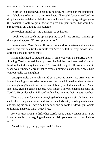The throb in his head was becoming painful and keeping up the discussion wasn't helping to lessen the pain. Ares knew if he couldn't convince Zarek to drop the matter and deal with it themselves, he would end up agreeing to go to the hospital, if only to get a doctor to give him pain meds that would be stronger than anything he had at home.

He wouldn't mind passing out again, to be honest.

"Look, you can patch me up and put me to bed." He grinned, turning up the puppy dog eyes. "I'll stay put, promise."

He watched as Zarek's eyes flickered back and forth between him and the road before that beautiful, shy smile that Ares first fell for crept across those gorgeous lips and stayed there.

Shaking his head, Z laughed lightly. "Fine, you win. No surprise there." Slowing, Zarek checked the empty road behind them and executed a U-turn, heading back the way they came. "No hospital tonight. I'll take a look at it when we get home." Zarek reached over, skimming his hand over Ares' hair without really touching him.

Unsurprisingly, the touch started as a check to make sure Ares was no longer bleeding and ended up as a caress that trailed down the side of his face, skimming along his left arm before Zarek finally settled his hand over Ares' left knee, giving a gentle squeeze. Ares fought a shiver, placing his hand on Zarek's. He smiled when Z flipped his hand up, twining their fingers together.

They were quiet for a while, enjoying the clear night and simply being near each other. The pain lessened and Ares exhaled a breath, relaxing into his seat and closing his eyes. They'd be home soon and he could lie down, pull Zarek to him and get some much needed rest.

He was just starting to drift when Zarek spoke quietly beside him. "You know, some day you're going to have to explain your aversion to hospitals to me."

Ares didn't reply, simply squeezed Z's hand.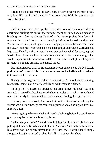Right, he'd do that when the Devil himself bent over for the fuck of his very long life and invited them for front row seats. With the promise of a YouTube video.

\*\*\*\*

Half an hour later, Ares pushed open the door of their one bedroom apartment, blinking his eyes asthe motion sensor light turned on, momentarily blinding him after the almost black of night. Zarek pushed him forward, moving him out of the doorway. Stepping inside, he locked the door and grabbed Ares' hand, wasting no time in dragging him into the bedroom. For a minute, Ares forgot what had happened that night, as an image of Zarek naked, legs spread lewdly and arms open in welcome as he reached for Ares, popped into his head. Aresimagined Zarek's body glowing in the faint moonlight that would seep in from the cracks around the curtains, the faint light washing over his golden skin and creating an ethereal mood.

His mind snapped back to the present as he was shoved onto the bed, Zarek pushing Ares' jacket off his shoulders as he reached behind him with one hand to turn on the bedside lamp.

Seeing him struggle to do both at the same time, Ares took over removing his jacket, easing his shirt off carefully as well when he finished.

Rolling his shoulders, he stretched his arms above his head. Leaning forward, he rested his head against the hard muscles of Zarek's stomach and murmured softly in pleasure when fingers began running through his hair.

His body was so relaxed, Ares found himself a little slow in realizing the fingers were sifting through his hair with a purpose. Again he sighed, this time in resignation.

He was going to have to deal with Zarek's babying before he could make good on any fantasies he wished to play out.

"What are you doing?" Zarek was holding up chunks of his hair and pulling at it randomly. While it didn't hurt, Ares wasn't all that comfortable in his current position either. Maybe if he told Zarek that, it would speed things along, he thought to himself. What the hell—it was worth a shot.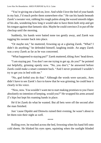"You're giving me a hard-on, love. And while I love the feel of your hands in my hair, I'd much prefer them somewhere else." He ran his hands beneath Zarek's sweater vest, rubbing his rough palms along the waxed smooth ridges of his abs, wondering how long it would take to have them both strip and get histongue against that fantastic skin. Maybe he could convince Z to put off the checkup until the morning.

Suddenly, his hands were batted none too gently away, and Zarek was tugging his sweater back into place.

"Or maybe not," he muttered, frowning up at a glaring Zarek. "What? I didn't do anything," he defended himself, laughing inside. An angry Zarek was a sexy Zarek as far as he was concerned.

"What happened to staying put?" Zarek muttered, tilting Ares' head down.

"I am staying put. You don't see me trying to get up, do you?" he pointed out helpfully, grinning openly now. "No, you don't," he answered before Zarek could make a smart comment back. "And I never promised I wouldn't try to get you in bed with me."

"No, god forbid you do that." Although the words were sarcastic, Ares didn't have to see Zarek's face to know that he was grinning; he could hear it clearly in his voice.

"Now, now. You wouldn't want me to start making promises to you I have absolutely no intention of keeping, would you?" He wrapped his arms around Z's hips but kept his roaming hands in place.

He'd let Zarek do what he wanted. But all bets were off the second after the man finished.

Just 'cause Dipshit and Dimwits ruined their evening, he wasn't about to let them ruin their night as well.

\*\*\*\*

Rolling over, he reached across the bed, frowning when his hand fell onto cold sheets. He blinked his eyes open, squinting when the sunlight blinded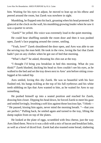him. Waiting for his eyes to adjust, he moved to lean up on his elbow and peered around the room, but Zarek was nowhere in sight.

Mumbling, he flopped onto his back, groaning when his head protested. He glanced at the clock on the wall, his mumbling growing louder when he saw it was a quarter to seven.

"Zarek?" he yelled. His voice was extremely loud in the quiet morning.

He could hear shuffling outside the room door and then it was pushed open, Zarek's face popping around the corner, smiling.

"Yeah, love?" Zarek shouldered the door open, and Ares was able to see the serving tray the man held. He took in the view, loving the fact that Zarek hadn't put on any clothes when he got out of bed that morning.

"What's that?" he asked, thrusting his chin out at the tray.

"I thought I'd bring you breakfast in bed this morning. What do you think?" Zarek blushed, ducking his head so Ares couldn't see his eyes, as he walked to the bed and set the tray down next to Ares' arm before sitting crosslegged at his naked hip.

Ares smiled, loving this shy Zarek. He was so beautiful with his face flushed red, his bangs tickling at the top of his full eyebrows and his white teeth nibbling on lips that Ares wanted to bite, as he waited for Ares to say something.

He pushed himself up into a seated position and reached for Zarek, drawing him closer. Dipping his head down, he forced Zarek to meet his gaze and smiled lovingly, brushing a soft kiss against those lusciouslips. "I think— " He paused, kissing him again, never mind the morning breath. "—that you are perfect." Pulling back, he smiled again and turned to the tray, lifting the damp napkin from on top of the plates.

He looked at the plate of eggs, scrambled with feta cheese, just the way Ares liked them. Next to it was a dish with a mix of bacon and breakfast links, as well as a bowl of diced fruit. Zarek had also toasted some bread, slathering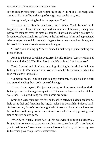it with enough butter that it was beginning to sag in the middle. He had placed a mug of black coffee and a cup of orange juice on the tray, too.

Ares grinned, turning back to an expectant Zarek.

"It looks great. Smells wonderful, too." When Zarek beamed with happiness, Ares leaned in and captured his mouth with his own, loving how happy his man got over the simplest things. That was one of the qualities he loved most about Zarek. He took joy in the little things in life and appreciated what most people took for granted. He gave Ares a new outlook on things, and he loved how easy it was to make Zarek happy.

"How're you holding up?" Zarek handed him the cup of juice, picking at a piece of fruit.

Resisting the urge to roll his eyes, Ares bit into a slice of toast, swallowing it down with the OJ. "I'm fine. I told you, it's nothing. I've had worse."

Zarek frowned and didn't say anything. Shaking his head, Ares held the buttery bread to Z's mouth. "You worry too much," he murmured when the man reluctantly took a bite.

"Someone has to." Smiling at the snippy comment, Ares picked up a fork and started feeding them both some of the eggs.

"I care about myself, I'm just not going to allow some dickless dorks bother you and let them get away with it. If it means a few cuts and scratches, well, then, it's a good thing you think scars are sexy."

Smirking, Ares put down his fork and reached between hislegs, grabbing a hold of his dick and fingering the slightly paler skin beneath his bulbous head. As he expected, Zarek's breath caught in his throat and for a minute it seemed he couldn't look away as Ares continued to fondle himself, growing hard under Zarek's heated gaze.

When Zarek finally looked back up, his eyes were shining and his face was bright. "It's not your job to protect me. I can take care of myself—I don't need you to do it for me." Ares knew he wanted to sound serious, but the husky note to his voice gave away Zarek's excitement.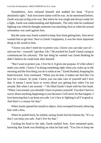Nonetheless, Ares released himself and nodded his head. "You're absolutely right." And Ares knew damn well he was. As he mentioned before, Zarek was just as big as he was. But where he was tough and always ready for a fight, Zarek was understanding and diplomatic. The only time he condoned fighting was when he thought someone was attacking Ares or when his sexual orientation was used against him.

But the same way Zarek wanted to keep Ares from getting hurt, Ares never wanted him to get hurt. Next to Zarek's happiness, it was the most important thing in the world to him.

"I know you don't need me to protect you. I know you can take care of and care for—yourself. I get that, I do." He reached for Zarek's hand, trying to communicate his sincerity. The last thing he wanted was Zarek thinking he didn't believe he could look after himself.

"But I want to protect you. I live for it. It gives me purpose. It's like when I make you smile. I know I'm doing something right when you wake up in the morning and the first thing you do issmile at me." Zarek blushed, dropping his head forward. Ares continued. "When you do that, it makes me feel like I'm here for a reason. So yeah, I know you can take care of yourself and I love that. It means I never have to worry about you getting hurt when I'm not around. But when I am around—" He lifted Zarek's head with his free hand. "When I am around, you shouldn't have to protect yourself. You don't have to worry about anything happening to you because I will never let that happen. I love knowing that I can keep you safe. Let's face it; fighting is all I'm good at. And there's a reason for that."

When Zarek opened his mouth to object, Ares swooped forward, silencing him with a kiss.

When he pulled back, he smiled, seeing Zarek lick his bottom lip. "It's so that I can keep you safe. And I live for that."

Cocking his head to the side, Zarek studied Ares. Ares remained quiet, knowing that Zarek was thinking on what he had said. "You live to keep me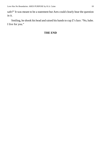safe?" It was meant to be a statement but Ares could clearly hear the question in it.

Smiling, he shook his head and raised his hands to cup Z's face. "No, babe. I live for you."

#### **THE END**